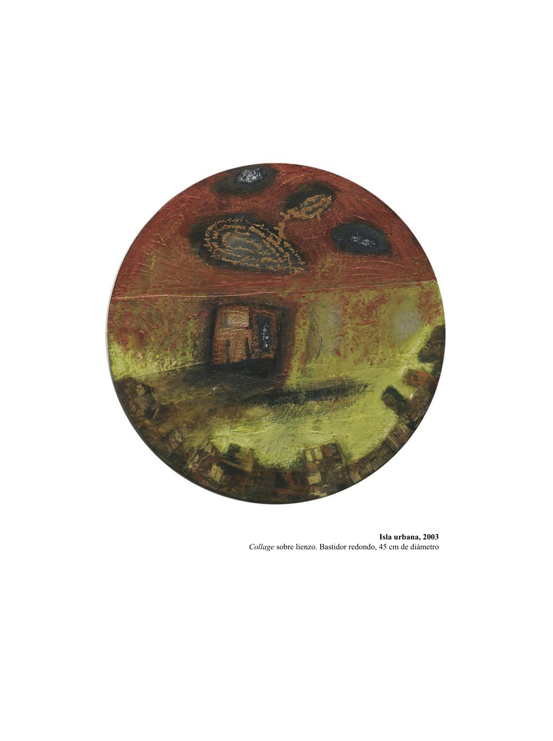

**Isla urbana, 2003** *Collage* sobre lienzo. Bastidor redondo, 45 cm de diámetro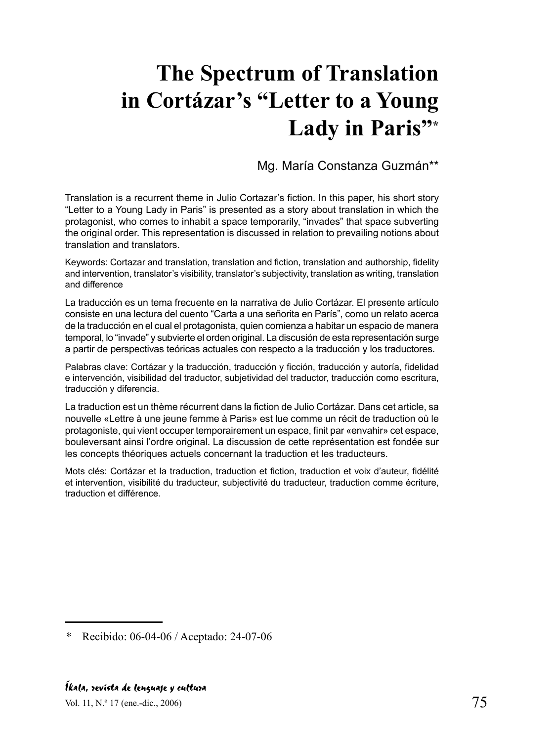## **The Spectrum of Translation in Cortázar's "Letter to a Young Lady in Paris"\***

Mg. María Constanza Guzmán\*\*

Translation is a recurrent theme in Julio Cortazar's fiction. In this paper, his short story "Letter to a Young Lady in Paris" is presented as a story about translation in which the protagonist, who comes to inhabit a space temporarily, "invades" that space subverting the original order. This representation is discussed in relation to prevailing notions about translation and translators.

Keywords: Cortazar and translation, translation and fiction, translation and authorship, fidelity and intervention, translator's visibility, translator's subjectivity, translation as writing, translation and difference

La traducción es un tema frecuente en la narrativa de Julio Cortázar. El presente artículo consiste en una lectura del cuento "Carta a una señorita en París", como un relato acerca de la traducción en el cual el protagonista, quien comienza a habitar un espacio de manera temporal, lo "invade" y subvierte el orden original. La discusión de esta representación surge a partir de perspectivas teóricas actuales con respecto a la traducción y los traductores.

Palabras clave: Cortázar y la traducción, traducción y ficción, traducción y autoría, fidelidad e intervención, visibilidad del traductor, subjetividad del traductor, traducción como escritura, traducción y diferencia.

La traduction est un thème récurrent dans la fiction de Julio Cortázar. Dans cet article, sa nouvelle «Lettre à une jeune femme à Paris» est lue comme un récit de traduction où le protagoniste, qui vient occuper temporairement un espace, finit par «envahir» cet espace, bouleversant ainsi l'ordre original. La discussion de cette représentation est fondée sur les concepts théoriques actuels concernant la traduction et les traducteurs.

Mots clés: Cortázar et la traduction, traduction et fiction, traduction et voix d'auteur, fidélité et intervention, visibilité du traducteur, subjectivité du traducteur, traduction comme écriture, traduction et différence.

Recibido: 06-04-06 / Aceptado: 24-07-06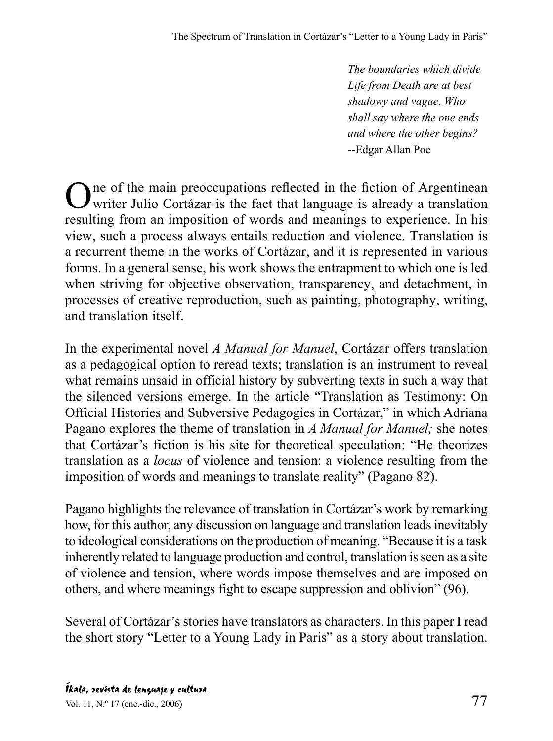*The boundaries which divide Life from Death are at best shadowy and vague. Who shall say where the one ends and where the other begins?* --Edgar Allan Poe

One of the main preoccupations reflected in the fiction of Argentinean<br>writer Julio Cortázar is the fact that language is already a translation resulting from an imposition of words and meanings to experience. In his view, such a process always entails reduction and violence. Translation is a recurrent theme in the works of Cortázar, and it is represented in various forms. In a general sense, his work shows the entrapment to which one is led when striving for objective observation, transparency, and detachment, in processes of creative reproduction, such as painting, photography, writing, and translation itself.

In the experimental novel *A Manual for Manuel*, Cortázar offers translation as a pedagogical option to reread texts; translation is an instrument to reveal what remains unsaid in official history by subverting texts in such a way that the silenced versions emerge. In the article "Translation as Testimony: On Official Histories and Subversive Pedagogies in Cortázar," in which Adriana Pagano explores the theme of translation in *A Manual for Manuel;* she notes that Cortázar's fiction is his site for theoretical speculation: "He theorizes translation as a *locus* of violence and tension: a violence resulting from the imposition of words and meanings to translate reality" (Pagano 82).

Pagano highlights the relevance of translation in Cortázar's work by remarking how, for this author, any discussion on language and translation leads inevitably to ideological considerations on the production of meaning. "Because it is a task inherently related to language production and control, translation is seen as a site of violence and tension, where words impose themselves and are imposed on others, and where meanings fight to escape suppression and oblivion" (96).

Several of Cortázar's stories have translators as characters. In this paper I read the short story "Letter to a Young Lady in Paris" as a story about translation.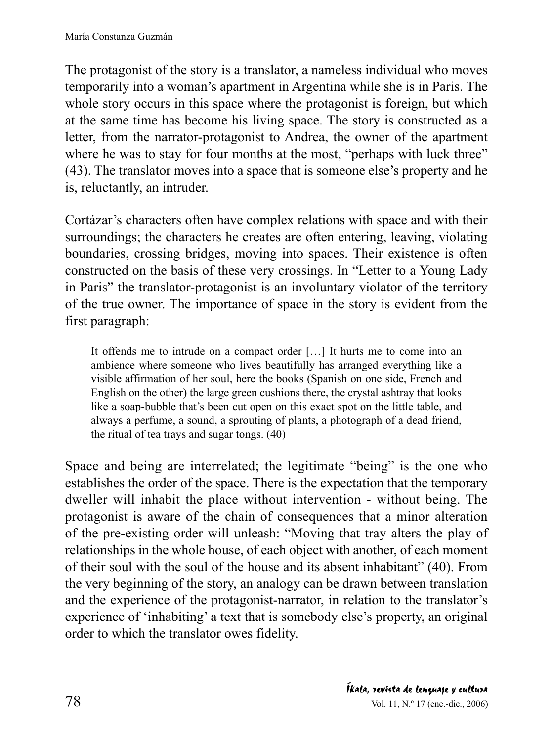The protagonist of the story is a translator, a nameless individual who moves temporarily into a woman's apartment in Argentina while she is in Paris. The whole story occurs in this space where the protagonist is foreign, but which at the same time has become his living space. The story is constructed as a letter, from the narrator-protagonist to Andrea, the owner of the apartment where he was to stay for four months at the most, "perhaps with luck three" (43). The translator moves into a space that is someone else's property and he is, reluctantly, an intruder.

Cortázar's characters often have complex relations with space and with their surroundings; the characters he creates are often entering, leaving, violating boundaries, crossing bridges, moving into spaces. Their existence is often constructed on the basis of these very crossings. In "Letter to a Young Lady in Paris" the translator-protagonist is an involuntary violator of the territory of the true owner. The importance of space in the story is evident from the first paragraph:

It offends me to intrude on a compact order […] It hurts me to come into an ambience where someone who lives beautifully has arranged everything like a visible affirmation of her soul, here the books (Spanish on one side, French and English on the other) the large green cushions there, the crystal ashtray that looks like a soap-bubble that's been cut open on this exact spot on the little table, and always a perfume, a sound, a sprouting of plants, a photograph of a dead friend, the ritual of tea trays and sugar tongs. (40)

Space and being are interrelated; the legitimate "being" is the one who establishes the order of the space. There is the expectation that the temporary dweller will inhabit the place without intervention - without being. The protagonist is aware of the chain of consequences that a minor alteration of the pre-existing order will unleash: "Moving that tray alters the play of relationships in the whole house, of each object with another, of each moment of their soul with the soul of the house and its absent inhabitant" (40). From the very beginning of the story, an analogy can be drawn between translation and the experience of the protagonist-narrator, in relation to the translator's experience of 'inhabiting' a text that is somebody else's property, an original order to which the translator owes fidelity.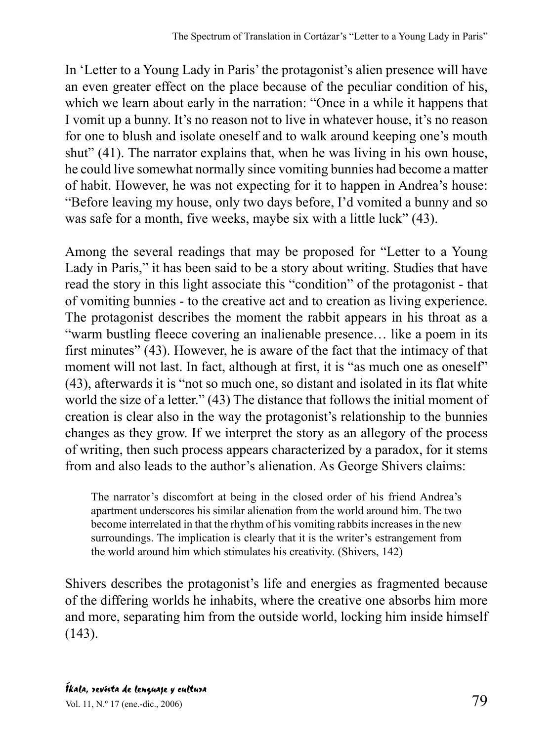In 'Letter to a Young Lady in Paris' the protagonist's alien presence will have an even greater effect on the place because of the peculiar condition of his, which we learn about early in the narration: "Once in a while it happens that I vomit up a bunny. It's no reason not to live in whatever house, it's no reason for one to blush and isolate oneself and to walk around keeping one's mouth shut" (41). The narrator explains that, when he was living in his own house, he could live somewhat normally since vomiting bunnies had become a matter of habit. However, he was not expecting for it to happen in Andrea's house: "Before leaving my house, only two days before, I'd vomited a bunny and so was safe for a month, five weeks, maybe six with a little luck" (43).

Among the several readings that may be proposed for "Letter to a Young Lady in Paris," it has been said to be a story about writing. Studies that have read the story in this light associate this "condition" of the protagonist - that of vomiting bunnies - to the creative act and to creation as living experience. The protagonist describes the moment the rabbit appears in his throat as a "warm bustling fleece covering an inalienable presence… like a poem in its first minutes" (43). However, he is aware of the fact that the intimacy of that moment will not last. In fact, although at first, it is "as much one as oneself" (43), afterwards it is "not so much one, so distant and isolated in its flat white world the size of a letter." (43) The distance that follows the initial moment of creation is clear also in the way the protagonist's relationship to the bunnies changes as they grow. If we interpret the story as an allegory of the process of writing, then such process appears characterized by a paradox, for it stems from and also leads to the author's alienation. As George Shivers claims:

The narrator's discomfort at being in the closed order of his friend Andrea's apartment underscores his similar alienation from the world around him. The two become interrelated in that the rhythm of his vomiting rabbits increases in the new surroundings. The implication is clearly that it is the writer's estrangement from the world around him which stimulates his creativity. (Shivers, 142)

Shivers describes the protagonist's life and energies as fragmented because of the differing worlds he inhabits, where the creative one absorbs him more and more, separating him from the outside world, locking him inside himself (143).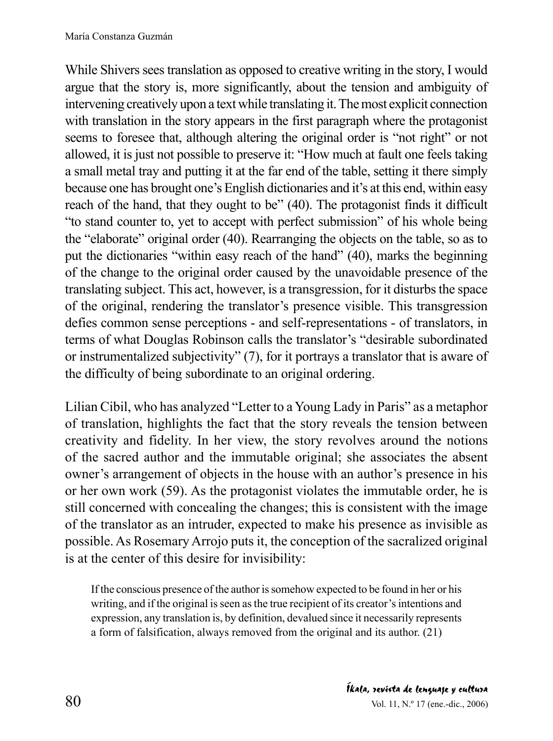While Shivers sees translation as opposed to creative writing in the story, I would argue that the story is, more significantly, about the tension and ambiguity of intervening creatively upon a text while translating it. The most explicit connection with translation in the story appears in the first paragraph where the protagonist seems to foresee that, although altering the original order is "not right" or not allowed, it is just not possible to preserve it: "How much at fault one feels taking a small metal tray and putting it at the far end of the table, setting it there simply because one has brought one's English dictionaries and it's at this end, within easy reach of the hand, that they ought to be" (40). The protagonist finds it difficult "to stand counter to, yet to accept with perfect submission" of his whole being the "elaborate" original order (40). Rearranging the objects on the table, so as to put the dictionaries "within easy reach of the hand" (40), marks the beginning of the change to the original order caused by the unavoidable presence of the translating subject. This act, however, is a transgression, for it disturbs the space of the original, rendering the translator's presence visible. This transgression defies common sense perceptions - and self-representations - of translators, in terms of what Douglas Robinson calls the translator's "desirable subordinated or instrumentalized subjectivity" (7), for it portrays a translator that is aware of the difficulty of being subordinate to an original ordering.

Lilian Cibil, who has analyzed "Letter to a Young Lady in Paris" as a metaphor of translation, highlights the fact that the story reveals the tension between creativity and fidelity. In her view, the story revolves around the notions of the sacred author and the immutable original; she associates the absent owner's arrangement of objects in the house with an author's presence in his or her own work (59). As the protagonist violates the immutable order, he is still concerned with concealing the changes; this is consistent with the image of the translator as an intruder, expected to make his presence as invisible as possible. As Rosemary Arrojo puts it, the conception of the sacralized original is at the center of this desire for invisibility:

If the conscious presence of the author is somehow expected to be found in her or his writing, and if the original is seen as the true recipient of its creator's intentions and expression, any translation is, by definition, devalued since it necessarily represents a form of falsification, always removed from the original and its author. (21)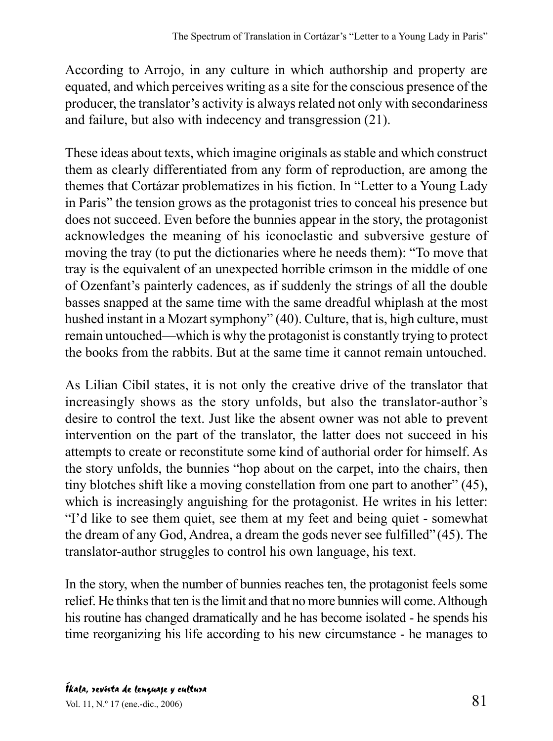According to Arrojo, in any culture in which authorship and property are equated, and which perceives writing as a site for the conscious presence of the producer, the translator's activity is always related not only with secondariness and failure, but also with indecency and transgression (21).

These ideas about texts, which imagine originals as stable and which construct them as clearly differentiated from any form of reproduction, are among the themes that Cortázar problematizes in his fiction. In "Letter to a Young Lady in Paris" the tension grows as the protagonist tries to conceal his presence but does not succeed. Even before the bunnies appear in the story, the protagonist acknowledges the meaning of his iconoclastic and subversive gesture of moving the tray (to put the dictionaries where he needs them): "To move that tray is the equivalent of an unexpected horrible crimson in the middle of one of Ozenfant's painterly cadences, as if suddenly the strings of all the double basses snapped at the same time with the same dreadful whiplash at the most hushed instant in a Mozart symphony" (40). Culture, that is, high culture, must remain untouched—which is why the protagonist is constantly trying to protect the books from the rabbits. But at the same time it cannot remain untouched.

As Lilian Cibil states, it is not only the creative drive of the translator that increasingly shows as the story unfolds, but also the translator-author's desire to control the text. Just like the absent owner was not able to prevent intervention on the part of the translator, the latter does not succeed in his attempts to create or reconstitute some kind of authorial order for himself. As the story unfolds, the bunnies "hop about on the carpet, into the chairs, then tiny blotches shift like a moving constellation from one part to another" (45), which is increasingly anguishing for the protagonist. He writes in his letter: "I'd like to see them quiet, see them at my feet and being quiet - somewhat the dream of any God, Andrea, a dream the gods never see fulfilled" (45). The translator-author struggles to control his own language, his text.

In the story, when the number of bunnies reaches ten, the protagonist feels some relief. He thinks that ten is the limit and that no more bunnies will come. Although his routine has changed dramatically and he has become isolated - he spends his time reorganizing his life according to his new circumstance - he manages to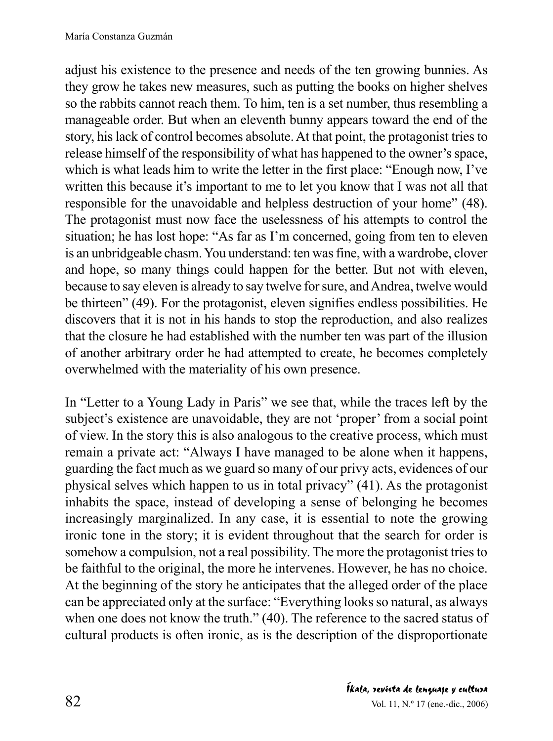adjust his existence to the presence and needs of the ten growing bunnies. As they grow he takes new measures, such as putting the books on higher shelves so the rabbits cannot reach them. To him, ten is a set number, thus resembling a manageable order. But when an eleventh bunny appears toward the end of the story, his lack of control becomes absolute. At that point, the protagonist tries to release himself of the responsibility of what has happened to the owner's space, which is what leads him to write the letter in the first place: "Enough now, I've written this because it's important to me to let you know that I was not all that responsible for the unavoidable and helpless destruction of your home" (48). The protagonist must now face the uselessness of his attempts to control the situation; he has lost hope: "As far as I'm concerned, going from ten to eleven is an unbridgeable chasm. You understand: ten was fine, with a wardrobe, clover and hope, so many things could happen for the better. But not with eleven, because to say eleven is already to say twelve for sure, and Andrea, twelve would be thirteen" (49). For the protagonist, eleven signifies endless possibilities. He discovers that it is not in his hands to stop the reproduction, and also realizes that the closure he had established with the number ten was part of the illusion of another arbitrary order he had attempted to create, he becomes completely overwhelmed with the materiality of his own presence.

In "Letter to a Young Lady in Paris" we see that, while the traces left by the subject's existence are unavoidable, they are not 'proper' from a social point of view. In the story this is also analogous to the creative process, which must remain a private act: "Always I have managed to be alone when it happens, guarding the fact much as we guard so many of our privy acts, evidences of our physical selves which happen to us in total privacy" (41). As the protagonist inhabits the space, instead of developing a sense of belonging he becomes increasingly marginalized. In any case, it is essential to note the growing ironic tone in the story; it is evident throughout that the search for order is somehow a compulsion, not a real possibility. The more the protagonist tries to be faithful to the original, the more he intervenes. However, he has no choice. At the beginning of the story he anticipates that the alleged order of the place can be appreciated only at the surface: "Everything looks so natural, as always when one does not know the truth." (40). The reference to the sacred status of cultural products is often ironic, as is the description of the disproportionate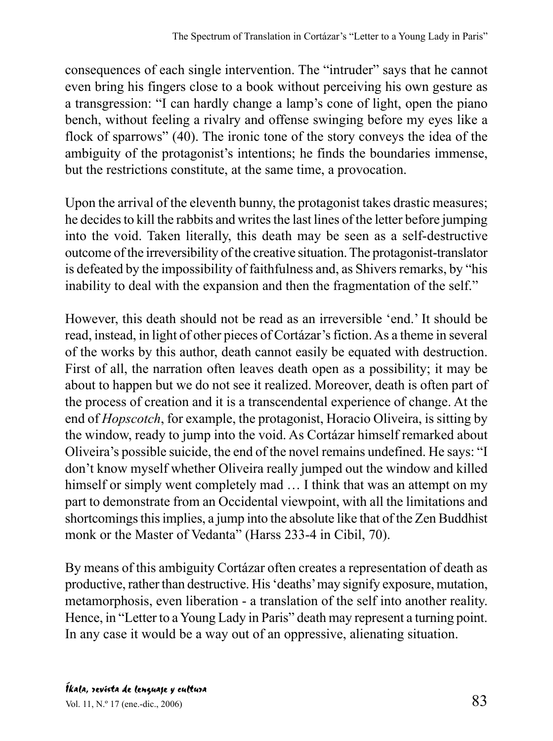consequences of each single intervention. The "intruder" says that he cannot even bring his fingers close to a book without perceiving his own gesture as a transgression: "I can hardly change a lamp's cone of light, open the piano bench, without feeling a rivalry and offense swinging before my eyes like a flock of sparrows" (40). The ironic tone of the story conveys the idea of the ambiguity of the protagonist's intentions; he finds the boundaries immense, but the restrictions constitute, at the same time, a provocation.

Upon the arrival of the eleventh bunny, the protagonist takes drastic measures; he decides to kill the rabbits and writes the last lines of the letter before jumping into the void. Taken literally, this death may be seen as a self-destructive outcome of the irreversibility of the creative situation. The protagonist-translator is defeated by the impossibility of faithfulness and, as Shivers remarks, by "his inability to deal with the expansion and then the fragmentation of the self."

However, this death should not be read as an irreversible 'end.' It should be read, instead, in light of other pieces of Cortázar's fiction. As a theme in several of the works by this author, death cannot easily be equated with destruction. First of all, the narration often leaves death open as a possibility; it may be about to happen but we do not see it realized. Moreover, death is often part of the process of creation and it is a transcendental experience of change. At the end of *Hopscotch*, for example, the protagonist, Horacio Oliveira, is sitting by the window, ready to jump into the void. As Cortázar himself remarked about Oliveira's possible suicide, the end of the novel remains undefined. He says: "I don't know myself whether Oliveira really jumped out the window and killed himself or simply went completely mad  $\dots$  I think that was an attempt on my part to demonstrate from an Occidental viewpoint, with all the limitations and shortcomings this implies, a jump into the absolute like that of the Zen Buddhist monk or the Master of Vedanta" (Harss 233-4 in Cibil, 70).

By means of this ambiguity Cortázar often creates a representation of death as productive, rather than destructive. His 'deaths' may signify exposure, mutation, metamorphosis, even liberation - a translation of the self into another reality. Hence, in "Letter to a Young Lady in Paris" death may represent a turning point. In any case it would be a way out of an oppressive, alienating situation.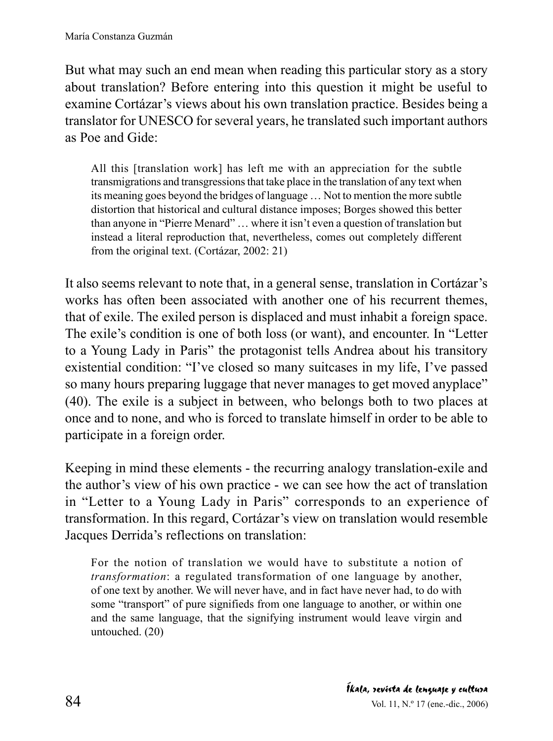But what may such an end mean when reading this particular story as a story about translation? Before entering into this question it might be useful to examine Cortázar's views about his own translation practice. Besides being a translator for UNESCO for several years, he translated such important authors as Poe and Gide:

All this [translation work] has left me with an appreciation for the subtle transmigrations and transgressions that take place in the translation of any text when its meaning goes beyond the bridges of language … Not to mention the more subtle distortion that historical and cultural distance imposes; Borges showed this better than anyone in "Pierre Menard" … where it isn't even a question of translation but instead a literal reproduction that, nevertheless, comes out completely different from the original text. (Cortázar, 2002: 21)

It also seems relevant to note that, in a general sense, translation in Cortázar's works has often been associated with another one of his recurrent themes, that of exile. The exiled person is displaced and must inhabit a foreign space. The exile's condition is one of both loss (or want), and encounter. In "Letter to a Young Lady in Paris" the protagonist tells Andrea about his transitory existential condition: "I've closed so many suitcases in my life, I've passed so many hours preparing luggage that never manages to get moved anyplace" (40). The exile is a subject in between, who belongs both to two places at once and to none, and who is forced to translate himself in order to be able to participate in a foreign order.

Keeping in mind these elements - the recurring analogy translation-exile and the author's view of his own practice - we can see how the act of translation in "Letter to a Young Lady in Paris" corresponds to an experience of transformation. In this regard, Cortázar's view on translation would resemble Jacques Derrida's reflections on translation:

For the notion of translation we would have to substitute a notion of *transformation*: a regulated transformation of one language by another, of one text by another. We will never have, and in fact have never had, to do with some "transport" of pure signifieds from one language to another, or within one and the same language, that the signifying instrument would leave virgin and untouched. (20)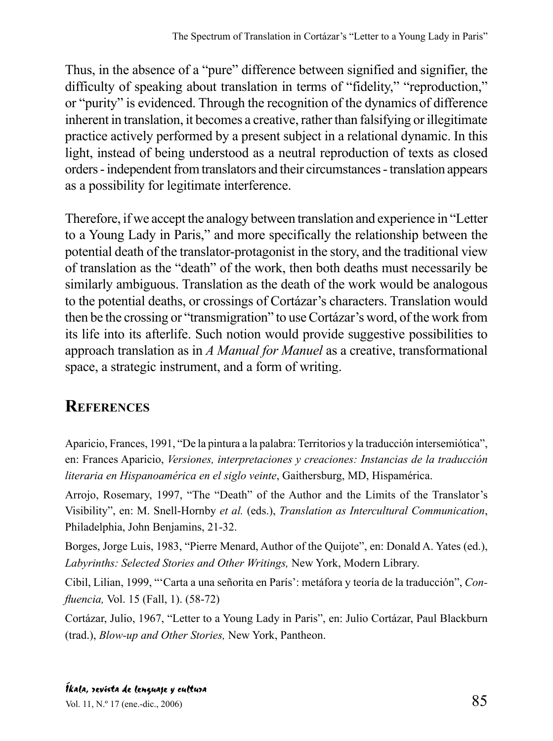Thus, in the absence of a "pure" difference between signified and signifier, the difficulty of speaking about translation in terms of "fidelity," "reproduction," or "purity" is evidenced. Through the recognition of the dynamics of difference inherent in translation, it becomes a creative, rather than falsifying or illegitimate practice actively performed by a present subject in a relational dynamic. In this light, instead of being understood as a neutral reproduction of texts as closed orders - independent from translators and their circumstances - translation appears as a possibility for legitimate interference.

Therefore, if we accept the analogy between translation and experience in "Letter to a Young Lady in Paris," and more specifically the relationship between the potential death of the translator-protagonist in the story, and the traditional view of translation as the "death" of the work, then both deaths must necessarily be similarly ambiguous. Translation as the death of the work would be analogous to the potential deaths, or crossings of Cortázar's characters. Translation would then be the crossing or "transmigration" to use Cortázar's word, of the work from its life into its afterlife. Such notion would provide suggestive possibilities to approach translation as in *A Manual for Manuel* as a creative, transformational space, a strategic instrument, and a form of writing.

## **REFERENCES**

Aparicio, Frances, 1991, "De la pintura a la palabra: Territorios y la traducción intersemiótica", en: Frances Aparicio, *Versiones, interpretaciones y creaciones: Instancias de la traducción literaria en Hispanoamérica en el siglo veinte*, Gaithersburg, MD, Hispamérica.

Arrojo, Rosemary, 1997, "The "Death" of the Author and the Limits of the Translator's Visibility", en: M. Snell-Hornby *et al.* (eds.), *Translation as Intercultural Communication*, Philadelphia, John Benjamins, 21-32.

Borges, Jorge Luis, 1983, "Pierre Menard, Author of the Quijote", en: Donald A. Yates (ed.), *Labyrinths: Selected Stories and Other Writings,* New York, Modern Library.

Cibil, Lilian, 1999, "'Carta a una señorita en París': metáfora y teoría de la traducción", *Confluencia,* Vol. 15 (Fall, 1). (58-72)

Cortázar, Julio, 1967, "Letter to a Young Lady in Paris", en: Julio Cortázar, Paul Blackburn (trad.), *Blow-up and Other Stories,* New York, Pantheon.